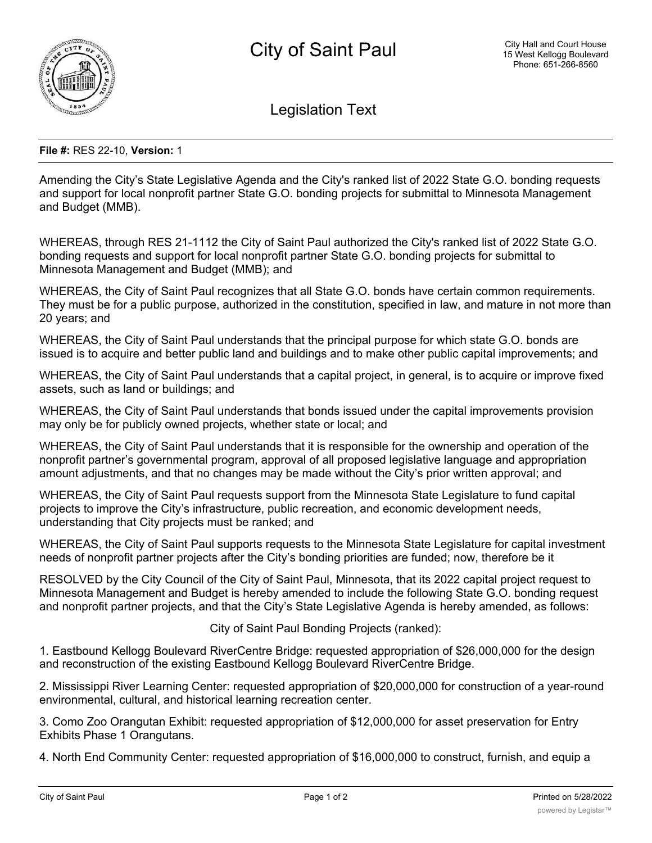

Legislation Text

## **File #:** RES 22-10, **Version:** 1

Amending the City's State Legislative Agenda and the City's ranked list of 2022 State G.O. bonding requests and support for local nonprofit partner State G.O. bonding projects for submittal to Minnesota Management and Budget (MMB).

WHEREAS, through RES 21-1112 the City of Saint Paul authorized the City's ranked list of 2022 State G.O. bonding requests and support for local nonprofit partner State G.O. bonding projects for submittal to Minnesota Management and Budget (MMB); and

WHEREAS, the City of Saint Paul recognizes that all State G.O. bonds have certain common requirements. They must be for a public purpose, authorized in the constitution, specified in law, and mature in not more than 20 years; and

WHEREAS, the City of Saint Paul understands that the principal purpose for which state G.O. bonds are issued is to acquire and better public land and buildings and to make other public capital improvements; and

WHEREAS, the City of Saint Paul understands that a capital project, in general, is to acquire or improve fixed assets, such as land or buildings; and

WHEREAS, the City of Saint Paul understands that bonds issued under the capital improvements provision may only be for publicly owned projects, whether state or local; and

WHEREAS, the City of Saint Paul understands that it is responsible for the ownership and operation of the nonprofit partner's governmental program, approval of all proposed legislative language and appropriation amount adjustments, and that no changes may be made without the City's prior written approval; and

WHEREAS, the City of Saint Paul requests support from the Minnesota State Legislature to fund capital projects to improve the City's infrastructure, public recreation, and economic development needs, understanding that City projects must be ranked; and

WHEREAS, the City of Saint Paul supports requests to the Minnesota State Legislature for capital investment needs of nonprofit partner projects after the City's bonding priorities are funded; now, therefore be it

RESOLVED by the City Council of the City of Saint Paul, Minnesota, that its 2022 capital project request to Minnesota Management and Budget is hereby amended to include the following State G.O. bonding request and nonprofit partner projects, and that the City's State Legislative Agenda is hereby amended, as follows:

City of Saint Paul Bonding Projects (ranked):

1. Eastbound Kellogg Boulevard RiverCentre Bridge: requested appropriation of \$26,000,000 for the design and reconstruction of the existing Eastbound Kellogg Boulevard RiverCentre Bridge.

2. Mississippi River Learning Center: requested appropriation of \$20,000,000 for construction of a year-round environmental, cultural, and historical learning recreation center.

3. Como Zoo Orangutan Exhibit: requested appropriation of \$12,000,000 for asset preservation for Entry Exhibits Phase 1 Orangutans.

4. North End Community Center: requested appropriation of \$16,000,000 to construct, furnish, and equip a